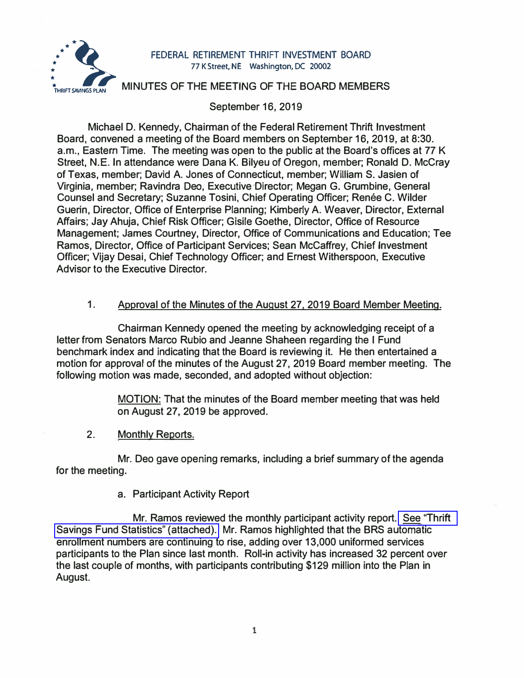

# FEDERAL RETIREMENT THRIFT INVESTMENT BOARD<br> **THRIFT SAVINGS PLAN**<br> **THRIFT SAVINGS PLAN**<br>
MINUTES OF THE MEETING OF THE BOARD MEMBERS **: \_ 77 K Street, NE Washington, DC 20002**

# September 16, 2019

Michael D. Kennedy, Chairman of the Federal Retirement Thrift Investment Board, convened a meeting of the Board members on September 16, 2019, at 8:30. a.m., Eastern Time. The meeting was open to the public at the Board's offices at 77 K Street, N.E. In attendance were Dana K. Bilyeu of Oregon, member; Ronald D. McCray of Texas, member; David A. Jones of Connecticut, member; William S. Jasien of Virginia, member; Ravindra Dea, Executive-Director; Megan G. Grumbine, General Counsel and Secretary; Suzanne Tosini, Chief Operating Officer; Renée C. Wilder Guerin, Director, Office of Enterprise Planning; Kimberly A. Weaver, Director, External Affairs; Jay Ahuja, Chief Risk Officer; Gisile Goethe, Director, Office of Resource Management; James Courtney, Director, Office of Communications and Education; Tee Ramos, Director, Office of Participant Services; Sean McCaffrey, Chief Investment Officer; Vijay Desai, Chief Technology Officer; and Ernest Witherspoon, Executive Advisor to the Executive Director.

# 1. Approval of the Minutes of the August 27, 2019 Board Member Meeting.

Chairman Kennedy opened the meeting by acknowledging receipt of a letter from Senators Marco Rubio and Jeanne Shaheen regarding the I Fund benchmark index and indicating that the Board is reviewing it. He then entertained a motion for approval of the minutes of the August 27, 2019 Board member meeting. The following motion was made, seconded, and adopted without objection:

> MOTION: That the minutes of the Board member meeting that was held on August 27, 2019 be approved.

**2.**  Monthly Reports.

Mr. Deo gave opening remarks, including a brief summary of the agenda for the meeting.

# a. Participant Activity Report

Mr. Ramos reviewed the monthly participant activity report. [See ''Thrift](https://www.frtib.gov/pdf/minutes/2019/Sept/MM-2019Sept-Att1.pdf)  [Savings Fund Statistics" \(attached\).](https://www.frtib.gov/pdf/minutes/2019/Sept/MM-2019Sept-Att1.pdf) Mr. Ramos highlighted that the BRS automatic enrollment numbers are continuing to rise, adding over 13,000 uniformed services participants to the Plan since last month. Roll-in activity has increased 32 percent over the last couple of months, with participants contributing \$129 million into the Plan in August.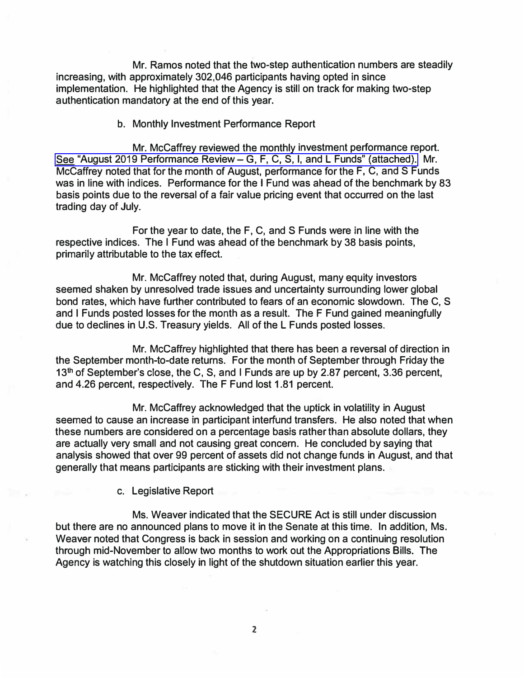Mr. Ramos noted that the two-step authentication numbers are steadily increasing, with approximately 302,046 participants having opted in since implementation. He highlighted that the Agency is still on track for making two-step authentication mandatory at the end of this year.

b. Monthly Investment Performance Report

Mr. McCaffrey reviewed the monthly investment performance report. See "August 2019 Performance Review – G, F, C, S, I, and L Funds" (attached). Mr. McCaffrey noted that for the month of August, performance for the F, C, and S Funds was in line with indices. Performance for the I Fund was ahead of the benchmark by 83 basis points due to the reversal of a fair value pricing event that occurred on the last trading day of July.

For the year to date, the F, C, and S Funds were in line with the respective indices. The I Fund was ahead of the benchmark by 38 basis points, primarily attributable to the tax effect.

Mr. McCaffrey noted that, during August, many equity investors seemed shaken by unresolved trade issues and uncertainty surrounding lower global bond rates, which have further contributed to fears of an economic slowdown. The C, S and I Funds posted losses for the month as a result. The F Fund gained meaningfully due to declines in U.S. Treasury yields. All of the L Funds posted losses.

Mr. Mccaffrey highlighted that there has been a reversal of direction in the September month-to-date returns. For the month of September through Friday the 13<sup>th</sup> of September's close, the C, S, and I Funds are up by 2.87 percent, 3.36 percent, and 4.26 percent, respectively. The F Fund lost 1.81 percent.

Mr. McCaffrey acknowledged that the uptick in volatility in August seemed to cause an increase in participant interfund transfers. He also noted that when these numbers are considered on a percentage basis rather than absolute dollars, they are actually very small and not causing great concern. He concluded by saying that analysis showed that over 99 percent of assets did not change funds in August, and that generally that means participants are sticking with their investment plans.

c. Legislative Report

Ms. Weaver indicated that the SECURE Act is still under discussion but there are no announced plans to move it in the Senate at this time. In addition, Ms. Weaver noted that Congress is back in session and working on a continuing resolution through mid-November to allow two months to work out the Appropriations Bills. The Agency is watching this closely in light of the shutdown situation earlier this year.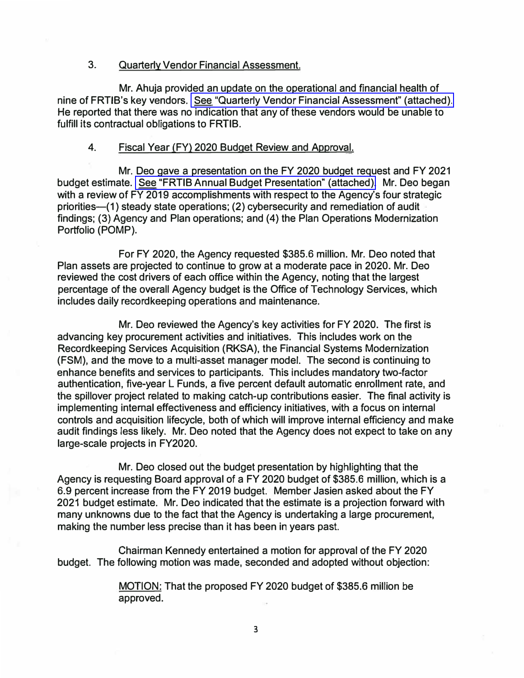#### **3. Quarterly Vendor Financial Assessment.**

**Mr. Ahuja provided an update on the operational and financial health of nine of FRTIB's key vendors. [See "Quarterly Vendor Financial Assessment" \(attached\).](https://www.frtib.gov/pdf/minutes/2019/Sept/MM-2019Sept-Att3.pdf)  He reported that there was no indication that any of these vendors would be unable to fulfill its contractual obligations to FRTIB.** 

#### **4. Fiscal Year (FY) 2020 Budget Review and Approval.**

**Mr. Deo gave a presentation on the FY 2020 budget request and FY 2021 budget estimate. [See "FRTIB Annual Budget Presentation" \(attached\).](https://www.frtib.gov/pdf/minutes/2019/Sept/MM-2019Sept-Att4.pdf) Mr. Dea began with a review of FY 2019 accomplishments with respect to the Agency's four strategic priorities-(1) steady state operations; (2) cybersecurity and remediation of audit findings; (3) Agency and Plan operations; and (4) the Plan Operations Modernization Portfolio (POMP).** 

**For FY 2020, the Agency requested \$385.6 million. Mr. Dea noted that Plan assets are projected to continue to grow at a moderate pace in 2020. Mr. Dea reviewed the cost drivers of each office within the Agency, noting that the largest percentage of the overall Agency budget is the Office of Technology Services, which includes daily recordkeeping operations and maintenance.** 

**Mr. Dea reviewed the Agency's key activities for FY 2020. The first is advancing key procurement activities and initiatives. This includes work on the Recordkeeping Services Acquisition (RKSA), the Financial Systems Modernization (FSM), and the move to a multi-asset manager model. The second is continuing to enhance benefits and services to participants. This includes mandatory two-factor authentication, five-year L Funds, a five percent default automatic enrollment rate, and the spillover project related to making catch-up contributions easier. The final activity is implementing internal effectiveness and efficiency initiatives, with a focus on internal controls and acquisition lifecycle, both of which will improve internal efficiency and make audit findings less likely. Mr. Dea noted that the Agency does not expect to take on any large-scale projects in FY2020.** 

**Mr. Dea closed out the budget presentation by highlighting that the Agency is requesting Board approval of a FY 2020 budget of \$385.6 million, which is a 6.9 percent increase from the FY 2019 budget. Member Jasien asked about the FY 2021 budget estimate. Mr. Dea indicated that the estimate is a projection forward with many unknowns due to the fact that the Agency is undertaking a large procurement, making the number less precise than it has been in years past.** 

**Chairman Kennedy entertained a motion for approval of the FY 2020 budget. The following motion was made, seconded and adopted without objection:** 

> **MOTION: That the proposed FY 2020 budget of \$385.6 million be approved.**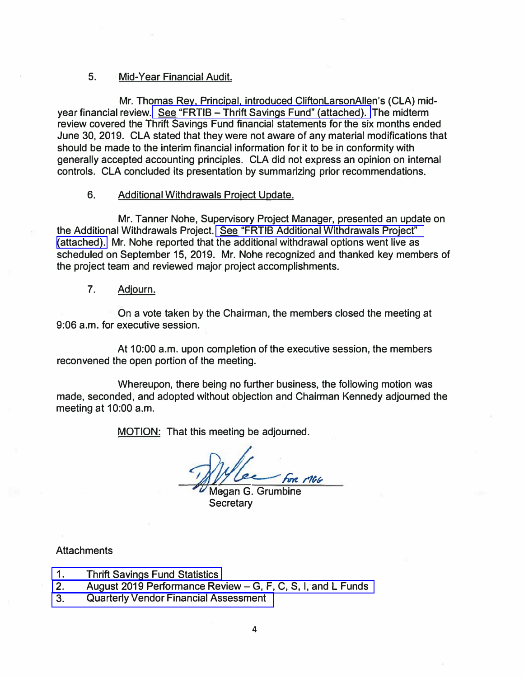### 5. Mid-Year Financial Audit.

Mr. Thomas Rey, Principal, introduced CliftonLarsonAllen's (CLA) mid-year financial review. See "FRTIB - [Thrift Savings Fund" \(attached\).](https://www.frtib.gov/pdf/minutes/2019/Sept/MM-2019Sept-Att5.pdf) The midterm review covered the Thrift Savings Fund financial statements for the six months ended June 30, 2019. CLA stated that they were not aware of any material modifications that should be made to the interim financial information for it to be in conformity with generally accepted accounting principles. CLA did not express an opinion on internal controls. CLA concluded its presentation by summarizing prior recommendations.

### 6. Additional Withdrawals Project Update.

Mr. Tanner Nohe, Supervisory Project Manager, presented an update on the Additional Withdrawals Project. [See "FRTIB Additional Withdrawals Project"](https://www.frtib.gov/pdf/minutes/2019/Sept/MM-2019Sept-Att6.pdf)  [\(attached\).](https://www.frtib.gov/pdf/minutes/2019/Sept/MM-2019Sept-Att6.pdf) Mr. Nohe reported that the additional withdrawal options went live as scheduled on September 15, 2019. Mr. Nohe recognized and thanked key members of the project team and reviewed major project accomplishments.

### 7. Adjourn.

On a vote taken by the Chairman, the members closed the meeting at 9:06 a.m. for executive session.

At 10:00 a.m. upon completion of the executive session, the members reconvened the open portion of the meeting.

Whereupon, there being no further business, the following motion was made, seconded, and adopted without objection and Chairman Kennedy adjourned the meeting at 10:00 a.m.

MOTION: That this meeting be adjourned.

For MGG Megan G. Grumbine

**Secretary** 

# **Attachments**

- 1. [Thrift Savings Fund Statistics](https://www.frtib.gov/pdf/minutes/2019/Sept/MM-2019Sept-Att1.pdf)
- 2. [August 2019 Performance Review-](https://www.frtib.gov/pdf/minutes/2019/Sept/MM-2019Sept-Att2.pdf) G, F, C, S, I, and L Funds
- 3. [Quarterly Vendor Financial Assessment](https://www.frtib.gov/pdf/minutes/2019/Sept/MM-2019Sept-Att3.pdf)